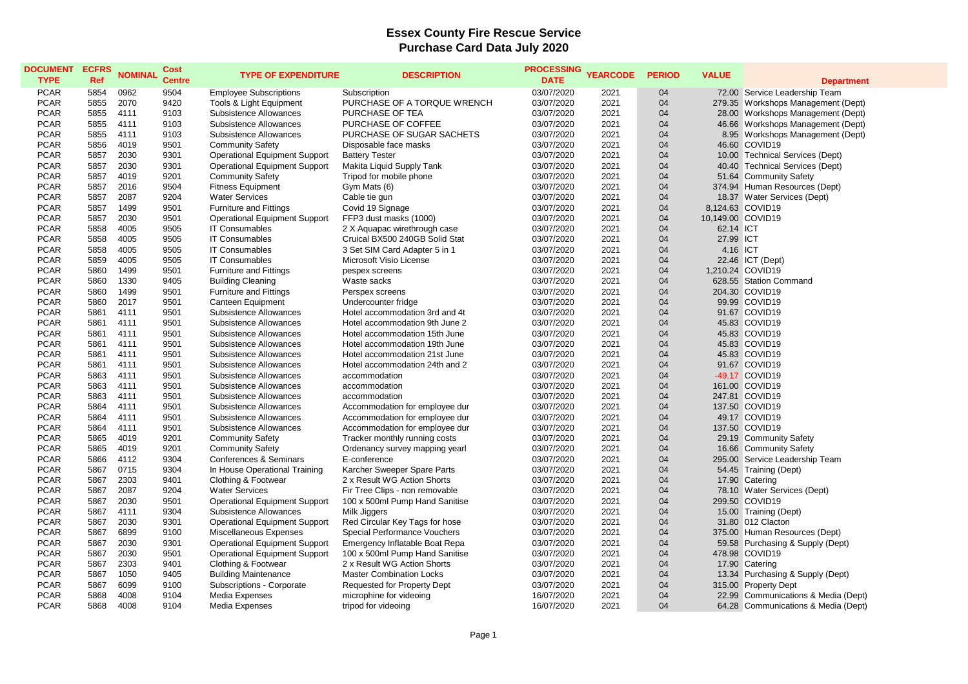## **Essex County Fire Rescue Service Purchase Card Data July 2020**

| <b>DOCUMENT</b><br><b>TYPE</b> | <b>ECFRS</b><br>Ref | <b>NOMINAL</b> | <b>Cost</b><br><b>Centre</b> | <b>TYPE OF EXPENDITURE</b>           | <b>DESCRIPTION</b>                 | <b>PROCESSING</b><br><b>DATE</b> | <b>YEARCODE</b> | <b>PERIOD</b> | <b>VALUE</b>      | <b>Department</b>                   |
|--------------------------------|---------------------|----------------|------------------------------|--------------------------------------|------------------------------------|----------------------------------|-----------------|---------------|-------------------|-------------------------------------|
| <b>PCAR</b>                    | 5854                | 0962           | 9504                         | <b>Employee Subscriptions</b>        | Subscription                       | 03/07/2020                       | 2021            | 04            |                   | 72.00 Service Leadership Team       |
| <b>PCAR</b>                    | 5855                | 2070           | 9420                         | Tools & Light Equipment              | PURCHASE OF A TORQUE WRENCH        | 03/07/2020                       | 2021            | 04            |                   | 279.35 Workshops Management (Dept)  |
| <b>PCAR</b>                    | 5855                | 4111           | 9103                         | Subsistence Allowances               | PURCHASE OF TEA                    | 03/07/2020                       | 2021            | 04            |                   | 28.00 Workshops Management (Dept)   |
| <b>PCAR</b>                    | 5855                | 4111           | 9103                         | Subsistence Allowances               | PURCHASE OF COFFEE                 | 03/07/2020                       | 2021            | 04            |                   | 46.66 Workshops Management (Dept)   |
| <b>PCAR</b>                    | 5855                | 4111           | 9103                         | Subsistence Allowances               | PURCHASE OF SUGAR SACHETS          | 03/07/2020                       | 2021            | 04            |                   | 8.95 Workshops Management (Dept)    |
| <b>PCAR</b>                    | 5856                | 4019           | 9501                         | <b>Community Safety</b>              | Disposable face masks              | 03/07/2020                       | 2021            | 04            |                   | 46.60 COVID19                       |
| <b>PCAR</b>                    | 5857                | 2030           | 9301                         | <b>Operational Equipment Support</b> | <b>Battery Tester</b>              | 03/07/2020                       | 2021            | 04            |                   | 10.00 Technical Services (Dept)     |
| <b>PCAR</b>                    | 5857                | 2030           | 9301                         | <b>Operational Equipment Support</b> | Makita Liquid Supply Tank          | 03/07/2020                       | 2021            | 04            |                   | 40.40 Technical Services (Dept)     |
| <b>PCAR</b>                    | 5857                | 4019           | 9201                         | <b>Community Safety</b>              | Tripod for mobile phone            | 03/07/2020                       | 2021            | 04            |                   | 51.64 Community Safety              |
| <b>PCAR</b>                    | 5857                | 2016           | 9504                         | <b>Fitness Equipment</b>             | Gym Mats (6)                       | 03/07/2020                       | 2021            | 04            |                   | 374.94 Human Resources (Dept)       |
| <b>PCAR</b>                    | 5857                | 2087           | 9204                         | <b>Water Services</b>                | Cable tie gun                      | 03/07/2020                       | 2021            | 04            |                   | 18.37 Water Services (Dept)         |
| <b>PCAR</b>                    | 5857                | 1499           | 9501                         | <b>Furniture and Fittings</b>        | Covid 19 Signage                   | 03/07/2020                       | 2021            | 04            |                   | 8,124.63 COVID19                    |
| <b>PCAR</b>                    | 5857                | 2030           | 9501                         | <b>Operational Equipment Support</b> | FFP3 dust masks (1000)             | 03/07/2020                       | 2021            | 04            | 10,149.00 COVID19 |                                     |
| <b>PCAR</b>                    | 5858                | 4005           | 9505                         | <b>IT Consumables</b>                | 2 X Aquapac wirethrough case       | 03/07/2020                       | 2021            | 04            | 62.14 ICT         |                                     |
| <b>PCAR</b>                    | 5858                | 4005           | 9505                         | <b>IT Consumables</b>                | Cruical BX500 240GB Solid Stat     | 03/07/2020                       | 2021            | 04            | 27.99 ICT         |                                     |
| <b>PCAR</b>                    | 5858                | 4005           | 9505                         | <b>IT Consumables</b>                | 3 Set SIM Card Adapter 5 in 1      | 03/07/2020                       | 2021            | 04            | 4.16 ICT          |                                     |
| <b>PCAR</b>                    | 5859                | 4005           | 9505                         | <b>IT Consumables</b>                | Microsoft Visio License            | 03/07/2020                       | 2021            | 04            |                   | 22.46 ICT (Dept)                    |
| <b>PCAR</b>                    | 5860                | 1499           | 9501                         | <b>Furniture and Fittings</b>        | pespex screens                     | 03/07/2020                       | 2021            | 04            |                   | 1,210.24 COVID19                    |
| <b>PCAR</b>                    | 5860                | 1330           | 9405                         | <b>Building Cleaning</b>             | Waste sacks                        | 03/07/2020                       | 2021            | 04            |                   | 628.55 Station Command              |
| <b>PCAR</b>                    | 5860                | 1499           | 9501                         | <b>Furniture and Fittings</b>        | Perspex screens                    | 03/07/2020                       | 2021            | 04            |                   | 204.30 COVID19                      |
| <b>PCAR</b>                    | 5860                | 2017           | 9501                         | Canteen Equipment                    | Undercounter fridge                | 03/07/2020                       | 2021            | 04            |                   | 99.99 COVID19                       |
| <b>PCAR</b>                    | 5861                | 4111           | 9501                         | Subsistence Allowances               | Hotel accommodation 3rd and 4t     | 03/07/2020                       | 2021            | 04            |                   | 91.67 COVID19                       |
| <b>PCAR</b>                    | 5861                | 4111           | 9501                         | Subsistence Allowances               | Hotel accommodation 9th June 2     | 03/07/2020                       | 2021            | 04            |                   | 45.83 COVID19                       |
| <b>PCAR</b>                    | 5861                | 4111           | 9501                         | Subsistence Allowances               | Hotel accommodation 15th June      | 03/07/2020                       | 2021            | 04            |                   | 45.83 COVID19                       |
| <b>PCAR</b>                    | 5861                | 4111           | 9501                         | Subsistence Allowances               | Hotel accommodation 19th June      | 03/07/2020                       | 2021            | 04            |                   | 45.83 COVID19                       |
| <b>PCAR</b>                    | 5861                | 4111           | 9501                         | Subsistence Allowances               | Hotel accommodation 21st June      | 03/07/2020                       | 2021            | 04            |                   | 45.83 COVID19                       |
| <b>PCAR</b>                    | 5861                | 4111           | 9501                         | Subsistence Allowances               | Hotel accommodation 24th and 2     | 03/07/2020                       | 2021            | 04            |                   | 91.67 COVID19                       |
| <b>PCAR</b>                    | 5863                | 4111           | 9501                         | Subsistence Allowances               | accommodation                      | 03/07/2020                       | 2021            | 04            |                   | -49.17 COVID19                      |
| <b>PCAR</b>                    | 5863                | 4111           | 9501                         | Subsistence Allowances               | accommodation                      | 03/07/2020                       | 2021            | 04            |                   | 161.00 COVID19                      |
| <b>PCAR</b>                    | 5863                | 4111           | 9501                         | Subsistence Allowances               | accommodation                      | 03/07/2020                       | 2021            | 04            |                   | 247.81 COVID19                      |
| <b>PCAR</b>                    | 5864                | 4111           | 9501                         | Subsistence Allowances               | Accommodation for employee dur     | 03/07/2020                       | 2021            | 04            |                   | 137.50 COVID19                      |
| <b>PCAR</b>                    | 5864                | 4111           | 9501                         | Subsistence Allowances               | Accommodation for employee dur     | 03/07/2020                       | 2021            | 04            |                   | 49.17 COVID19                       |
| <b>PCAR</b>                    | 5864                | 4111           | 9501                         | Subsistence Allowances               | Accommodation for employee dur     | 03/07/2020                       | 2021            | 04            |                   | 137.50 COVID19                      |
| <b>PCAR</b>                    | 5865                | 4019           | 9201                         | <b>Community Safety</b>              | Tracker monthly running costs      | 03/07/2020                       | 2021            | 04            |                   | 29.19 Community Safety              |
| <b>PCAR</b>                    | 5865                | 4019           | 9201                         | <b>Community Safety</b>              | Ordenancy survey mapping yearl     | 03/07/2020                       | 2021            | 04            |                   | 16.66 Community Safety              |
| <b>PCAR</b>                    | 5866                | 4112           | 9304                         | Conferences & Seminars               | E-conference                       | 03/07/2020                       | 2021            | 04            |                   | 295.00 Service Leadership Team      |
| <b>PCAR</b>                    | 5867                | 0715           | 9304                         | In House Operational Training        | Karcher Sweeper Spare Parts        | 03/07/2020                       | 2021            | 04            |                   | 54.45 Training (Dept)               |
| <b>PCAR</b>                    | 5867                | 2303           | 9401                         | Clothing & Footwear                  | 2 x Result WG Action Shorts        | 03/07/2020                       | 2021            | 04            |                   | 17.90 Catering                      |
| <b>PCAR</b>                    | 5867                | 2087           | 9204                         | <b>Water Services</b>                | Fir Tree Clips - non removable     | 03/07/2020                       | 2021            | 04            |                   | 78.10 Water Services (Dept)         |
| <b>PCAR</b>                    | 5867                | 2030           | 9501                         | <b>Operational Equipment Support</b> | 100 x 500ml Pump Hand Sanitise     | 03/07/2020                       | 2021            | 04            |                   | 299.50 COVID19                      |
| <b>PCAR</b>                    | 5867                | 4111           | 9304                         | Subsistence Allowances               | Milk Jiggers                       | 03/07/2020                       | 2021            | 04            |                   | 15.00 Training (Dept)               |
| <b>PCAR</b>                    | 5867                | 2030           | 9301                         | <b>Operational Equipment Support</b> | Red Circular Key Tags for hose     | 03/07/2020                       | 2021            | 04            |                   | 31.80 012 Clacton                   |
| <b>PCAR</b>                    | 5867                | 6899           | 9100                         | Miscellaneous Expenses               | Special Performance Vouchers       | 03/07/2020                       | 2021            | 04            |                   | 375.00 Human Resources (Dept)       |
| <b>PCAR</b>                    | 5867                | 2030           | 9301                         | <b>Operational Equipment Support</b> | Emergency Inflatable Boat Repa     | 03/07/2020                       | 2021            | 04            |                   | 59.58 Purchasing & Supply (Dept)    |
| <b>PCAR</b>                    | 5867                | 2030           | 9501                         | <b>Operational Equipment Support</b> | 100 x 500ml Pump Hand Sanitise     | 03/07/2020                       | 2021            | 04            |                   | 478.98 COVID19                      |
| <b>PCAR</b>                    | 5867                | 2303           | 9401                         | Clothing & Footwear                  | 2 x Result WG Action Shorts        | 03/07/2020                       | 2021            | 04            |                   | 17.90 Catering                      |
| <b>PCAR</b>                    | 5867                | 1050           | 9405                         | <b>Building Maintenance</b>          | <b>Master Combination Locks</b>    | 03/07/2020                       | 2021            | 04            |                   | 13.34 Purchasing & Supply (Dept)    |
| <b>PCAR</b>                    | 5867                | 6099           | 9100                         | Subscriptions - Corporate            | <b>Requested for Property Dept</b> | 03/07/2020                       | 2021            | 04            |                   | 315.00 Property Dept                |
| <b>PCAR</b>                    | 5868                | 4008           | 9104                         | Media Expenses                       | microphine for videoing            | 16/07/2020                       | 2021            | 04            |                   | 22.99 Communications & Media (Dept) |
| <b>PCAR</b>                    | 5868                | 4008           | 9104                         | Media Expenses                       | tripod for videoing                | 16/07/2020                       | 2021            | 04            |                   | 64.28 Communications & Media (Dept) |